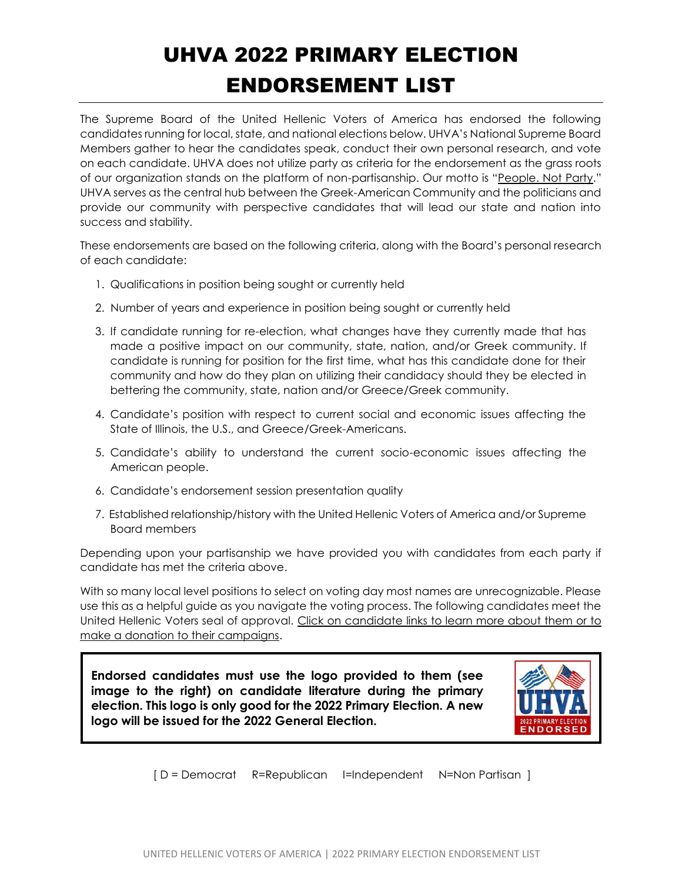## UHVA 2022 PRIMARY ELECTION ENDORSEMENT LIST

The Supreme Board of the United Hellenic Voters of America has endorsed the following candidates running for local, state, and national elections below. UHVA's National Supreme Board Members gather to hear the candidates speak, conduct their own personal research, and vote on each candidate. UHVA does not utilize party as criteria for the endorsement as the grass roots of our organization stands on the platform of non-partisanship. Our motto is "People. Not Party." UHVA serves as the central hub between the Greek-American Community and the politicians and provide our community with perspective candidates that will lead our state and nation into success and stability.

These endorsements are based on the following criteria, along with the Board's personal research of each candidate:

- 1. Qualifications in position being sought or currently held
- 2. Number of years and experience in position being sought or currently held
- 3. If candidate running for re-election, what changes have they currently made that has made a positive impact on our community, state, nation, and/or Greek community. If candidate is running for position for the first time, what has this candidate done for their community and how do they plan on utilizing their candidacy should they be elected in bettering the community, state, nation and/or Greece/Greek community.
- 4. Candidate's position with respect to current social and economic issues affecting the State of Illinois, the U.S., and Greece/Greek-Americans.
- 5. Candidate's ability to understand the current socio-economic issues affecting the American people.
- 6. Candidate's endorsement session presentation quality
- 7. Established relationship/history with the United Hellenic Voters of America and/or Supreme Board members

Depending upon your partisanship we have provided you with candidates from each party if candidate has met the criteria above.

With so many local level positions to select on voting day most names are unrecognizable. Please use this as a helpful guide as you navigate the voting process. The following candidates meet the United Hellenic Voters seal of approval. Click on candidate links to learn more about them or to make a donation to their campaigns.

**Endorsed candidates must use the logo provided to them (see image to the right) on candidate literature during the primary election. This logo is only good for the 2022 Primary Election. A new logo will be issued for the 2022 General Election.**



[ D = Democrat R=Republican I=Independent N=Non Partisan ]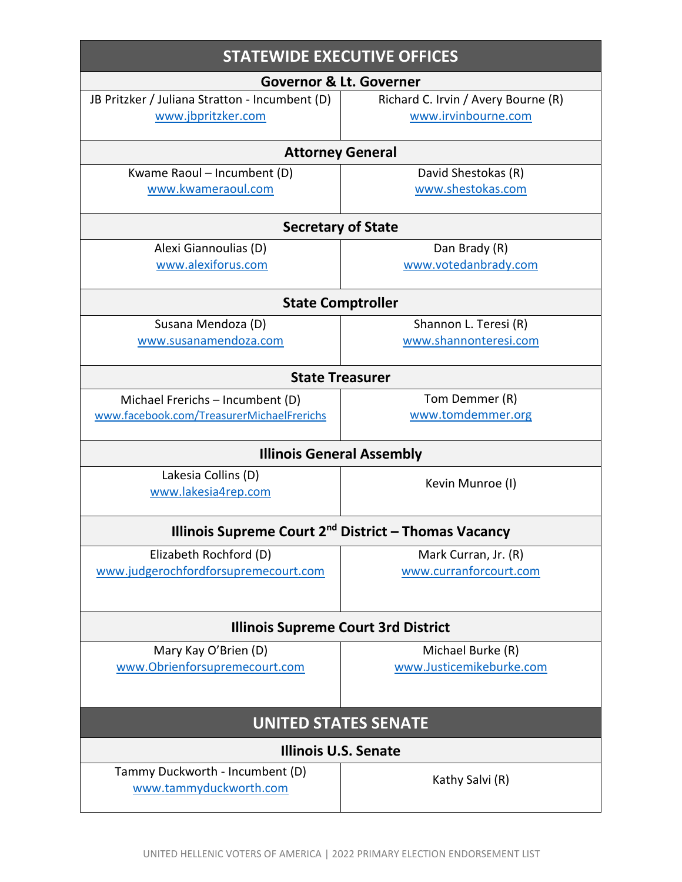| <b>STATEWIDE EXECUTIVE OFFICES</b>                                            |                                          |
|-------------------------------------------------------------------------------|------------------------------------------|
| <b>Governor &amp; Lt. Governer</b>                                            |                                          |
| JB Pritzker / Juliana Stratton - Incumbent (D)                                | Richard C. Irvin / Avery Bourne (R)      |
| www.jbpritzker.com                                                            | www.irvinbourne.com                      |
|                                                                               |                                          |
| <b>Attorney General</b>                                                       |                                          |
| Kwame Raoul - Incumbent (D)<br>www.kwameraoul.com                             | David Shestokas (R)<br>www.shestokas.com |
|                                                                               |                                          |
| <b>Secretary of State</b>                                                     |                                          |
| Alexi Giannoulias (D)                                                         | Dan Brady (R)                            |
| www.alexiforus.com                                                            | www.votedanbrady.com                     |
|                                                                               |                                          |
| <b>State Comptroller</b>                                                      |                                          |
| Susana Mendoza (D)                                                            | Shannon L. Teresi (R)                    |
| www.susanamendoza.com                                                         | www.shannonteresi.com                    |
| <b>State Treasurer</b>                                                        |                                          |
|                                                                               | Tom Demmer (R)                           |
| Michael Frerichs - Incumbent (D)<br>www.facebook.com/TreasurerMichaelFrerichs | www.tomdemmer.org                        |
|                                                                               |                                          |
| <b>Illinois General Assembly</b>                                              |                                          |
| Lakesia Collins (D)                                                           | Kevin Munroe (I)                         |
| www.lakesia4rep.com                                                           |                                          |
|                                                                               |                                          |
| Illinois Supreme Court 2 <sup>nd</sup> District – Thomas Vacancy              |                                          |
| Elizabeth Rochford (D)                                                        | Mark Curran, Jr. (R)                     |
| www.judgerochfordforsupremecourt.com                                          | www.curranforcourt.com                   |
|                                                                               |                                          |
| <b>Illinois Supreme Court 3rd District</b>                                    |                                          |
| Mary Kay O'Brien (D)                                                          | Michael Burke (R)                        |
| www.Obrienforsupremecourt.com                                                 | www.Justicemikeburke.com                 |
|                                                                               |                                          |
|                                                                               |                                          |
| <b>UNITED STATES SENATE</b>                                                   |                                          |
| <b>Illinois U.S. Senate</b>                                                   |                                          |
| Tammy Duckworth - Incumbent (D)                                               | Kathy Salvi (R)                          |
| www.tammyduckworth.com                                                        |                                          |
|                                                                               |                                          |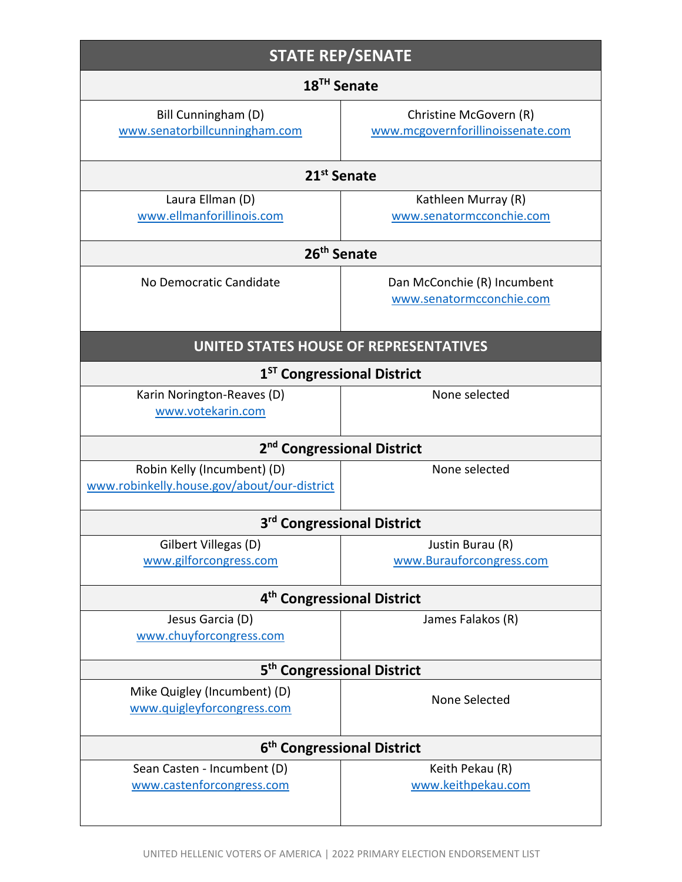| <b>STATE REP/SENATE</b>                                                    |                                                             |
|----------------------------------------------------------------------------|-------------------------------------------------------------|
| 18 <sup>TH</sup> Senate                                                    |                                                             |
| Bill Cunningham (D)<br>www.senatorbillcunningham.com                       | Christine McGovern (R)<br>www.mcgovernforillinoissenate.com |
| 21 <sup>st</sup> Senate                                                    |                                                             |
| Laura Ellman (D)<br>www.ellmanforillinois.com                              | Kathleen Murray (R)<br>www.senatormcconchie.com             |
| 26 <sup>th</sup> Senate                                                    |                                                             |
| No Democratic Candidate                                                    | Dan McConchie (R) Incumbent<br>www.senatormcconchie.com     |
| <b>UNITED STATES HOUSE OF REPRESENTATIVES</b>                              |                                                             |
| 1 <sup>ST</sup> Congressional District                                     |                                                             |
| Karin Norington-Reaves (D)<br>www.votekarin.com                            | None selected                                               |
| 2 <sup>nd</sup> Congressional District                                     |                                                             |
| Robin Kelly (Incumbent) (D)<br>www.robinkelly.house.gov/about/our-district | None selected                                               |
|                                                                            | 3 <sup>rd</sup> Congressional District                      |
| Gilbert Villegas (D)<br>www.gilforcongress.com                             | Justin Burau (R)<br>www.Burauforcongress.com                |
| 4 <sup>th</sup> Congressional District                                     |                                                             |
| Jesus Garcia (D)<br>www.chuyforcongress.com                                | James Falakos (R)                                           |
| 5 <sup>th</sup> Congressional District                                     |                                                             |
| Mike Quigley (Incumbent) (D)<br>www.quigleyforcongress.com                 | None Selected                                               |
| 6 <sup>th</sup> Congressional District                                     |                                                             |
| Sean Casten - Incumbent (D)<br>www.castenforcongress.com                   | Keith Pekau (R)<br>www.keithpekau.com                       |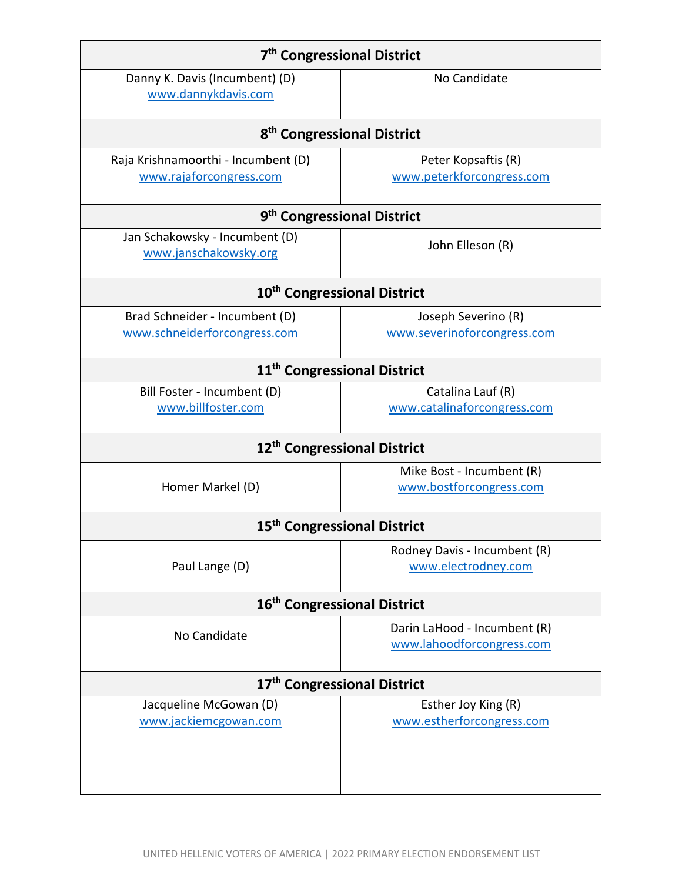| 7 <sup>th</sup> Congressional District                  |                                        |
|---------------------------------------------------------|----------------------------------------|
| Danny K. Davis (Incumbent) (D)<br>www.dannykdavis.com   | No Candidate                           |
|                                                         | 8 <sup>th</sup> Congressional District |
| Raja Krishnamoorthi - Incumbent (D)                     | Peter Kopsaftis (R)                    |
| www.rajaforcongress.com                                 | www.peterkforcongress.com              |
|                                                         | 9 <sup>th</sup> Congressional District |
| Jan Schakowsky - Incumbent (D)<br>www.janschakowsky.org | John Elleson (R)                       |
| 10 <sup>th</sup> Congressional District                 |                                        |
| Brad Schneider - Incumbent (D)                          | Joseph Severino (R)                    |
| www.schneiderforcongress.com                            | www.severinoforcongress.com            |
| 11 <sup>th</sup> Congressional District                 |                                        |
| Bill Foster - Incumbent (D)                             | Catalina Lauf (R)                      |
| www.billfoster.com                                      | www.catalinaforcongress.com            |
| 12 <sup>th</sup> Congressional District                 |                                        |
|                                                         | Mike Bost - Incumbent (R)              |
| Homer Markel (D)                                        | www.bostforcongress.com                |
| 15 <sup>th</sup> Congressional District                 |                                        |
|                                                         | Rodney Davis - Incumbent (R)           |
| Paul Lange (D)                                          | www.electrodney.com                    |
| 16 <sup>th</sup> Congressional District                 |                                        |
| No Candidate                                            | Darin LaHood - Incumbent (R)           |
|                                                         | www.lahoodforcongress.com              |
| 17 <sup>th</sup> Congressional District                 |                                        |
| Jacqueline McGowan (D)                                  | Esther Joy King (R)                    |
| www.jackiemcgowan.com                                   | www.estherforcongress.com              |
|                                                         |                                        |
|                                                         |                                        |
|                                                         |                                        |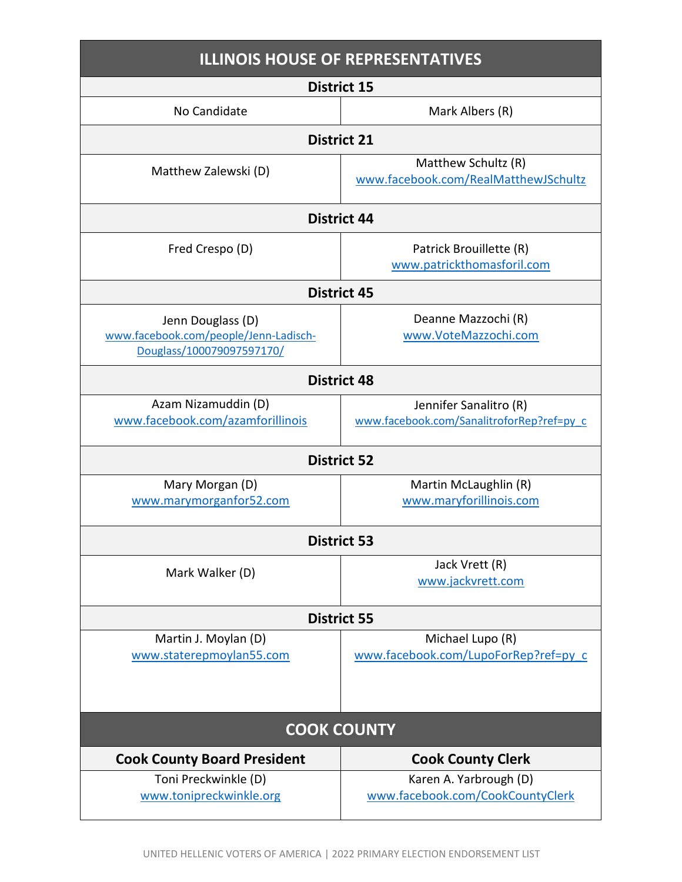| <b>ILLINOIS HOUSE OF REPRESENTATIVES</b>                                                |                                                                     |
|-----------------------------------------------------------------------------------------|---------------------------------------------------------------------|
|                                                                                         | <b>District 15</b>                                                  |
| No Candidate                                                                            | Mark Albers (R)                                                     |
|                                                                                         | <b>District 21</b>                                                  |
| Matthew Zalewski (D)                                                                    | Matthew Schultz (R)<br>www.facebook.com/RealMatthewJSchultz         |
|                                                                                         | <b>District 44</b>                                                  |
| Fred Crespo (D)                                                                         | Patrick Brouillette (R)<br>www.patrickthomasforil.com               |
|                                                                                         | <b>District 45</b>                                                  |
| Jenn Douglass (D)<br>www.facebook.com/people/Jenn-Ladisch-<br>Douglass/100079097597170/ | Deanne Mazzochi (R)<br>www.VoteMazzochi.com                         |
|                                                                                         | <b>District 48</b>                                                  |
| Azam Nizamuddin (D)<br>www.facebook.com/azamforillinois                                 | Jennifer Sanalitro (R)<br>www.facebook.com/SanalitroforRep?ref=py_c |
|                                                                                         | <b>District 52</b>                                                  |
| Mary Morgan (D)<br>www.marymorganfor52.com                                              | Martin McLaughlin (R)<br>www.maryforillinois.com                    |
|                                                                                         | <b>District 53</b>                                                  |
| Mark Walker (D)                                                                         | Jack Vrett (R)<br>www.jackvrett.com                                 |
| <b>District 55</b>                                                                      |                                                                     |
| Martin J. Moylan (D)<br>www.staterepmoylan55.com                                        | Michael Lupo (R)<br>www.facebook.com/LupoForRep?ref=py_c            |
| <b>COOK COUNTY</b>                                                                      |                                                                     |
| <b>Cook County Board President</b>                                                      | <b>Cook County Clerk</b>                                            |
| Toni Preckwinkle (D)<br>www.tonipreckwinkle.org                                         | Karen A. Yarbrough (D)<br>www.facebook.com/CookCountyClerk          |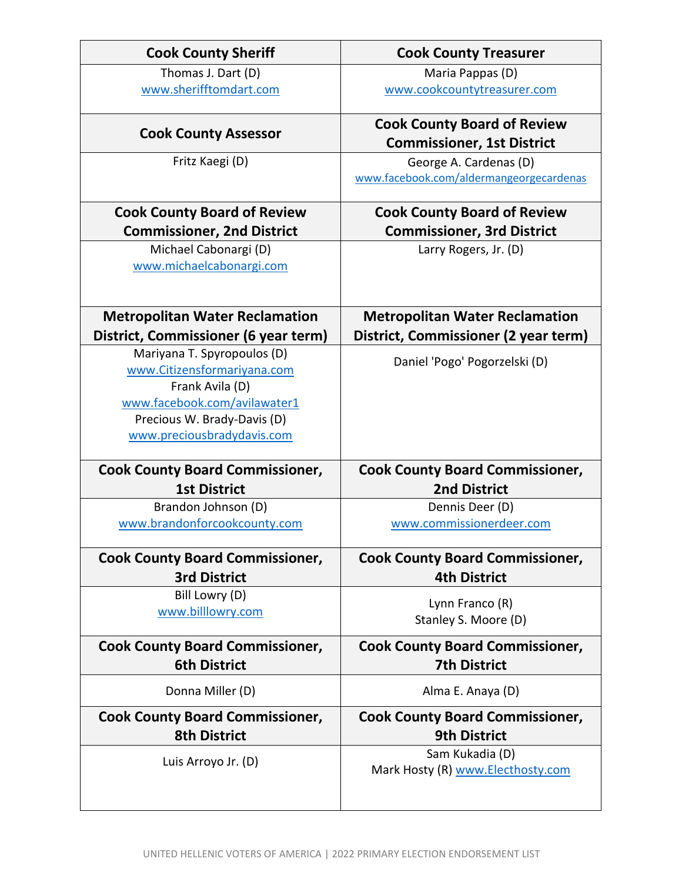| <b>Cook County Sheriff</b>                   | <b>Cook County Treasurer</b>                                      |
|----------------------------------------------|-------------------------------------------------------------------|
| Thomas J. Dart (D)<br>www.sherifftomdart.com | Maria Pappas (D)<br>www.cookcountytreasurer.com                   |
|                                              |                                                                   |
| <b>Cook County Assessor</b>                  | <b>Cook County Board of Review</b>                                |
|                                              | <b>Commissioner, 1st District</b>                                 |
| Fritz Kaegi (D)                              | George A. Cardenas (D)<br>www.facebook.com/aldermangeorgecardenas |
| <b>Cook County Board of Review</b>           | <b>Cook County Board of Review</b>                                |
| <b>Commissioner, 2nd District</b>            | <b>Commissioner, 3rd District</b>                                 |
| Michael Cabonargi (D)                        | Larry Rogers, Jr. (D)                                             |
| www.michaelcabonargi.com                     |                                                                   |
|                                              |                                                                   |
|                                              |                                                                   |
| <b>Metropolitan Water Reclamation</b>        | <b>Metropolitan Water Reclamation</b>                             |
| District, Commissioner (6 year term)         | District, Commissioner (2 year term)                              |
| Mariyana T. Spyropoulos (D)                  |                                                                   |
| www.Citizensformariyana.com                  | Daniel 'Pogo' Pogorzelski (D)                                     |
| Frank Avila (D)                              |                                                                   |
| www.facebook.com/avilawater1                 |                                                                   |
| Precious W. Brady-Davis (D)                  |                                                                   |
| www.preciousbradydavis.com                   |                                                                   |
| <b>Cook County Board Commissioner,</b>       | <b>Cook County Board Commissioner,</b>                            |
| <b>1st District</b>                          | <b>2nd District</b>                                               |
| Brandon Johnson (D)                          | Dennis Deer (D)                                                   |
| www.brandonforcookcounty.com                 | www.commissionerdeer.com                                          |
|                                              |                                                                   |
| <b>Cook County Board Commissioner,</b>       | <b>Cook County Board Commissioner,</b>                            |
| <b>3rd District</b>                          | <b>4th District</b>                                               |
| Bill Lowry (D)                               |                                                                   |
| www.billlowry.com                            | Lynn Franco (R)                                                   |
|                                              | Stanley S. Moore (D)                                              |
| <b>Cook County Board Commissioner,</b>       | <b>Cook County Board Commissioner,</b>                            |
| <b>6th District</b>                          | <b>7th District</b>                                               |
| Donna Miller (D)                             | Alma E. Anaya (D)                                                 |
| <b>Cook County Board Commissioner,</b>       | <b>Cook County Board Commissioner,</b>                            |
| <b>8th District</b>                          | <b>9th District</b>                                               |
|                                              | Sam Kukadia (D)                                                   |
| Luis Arroyo Jr. (D)                          | Mark Hosty (R) www.Electhosty.com                                 |
|                                              |                                                                   |
|                                              |                                                                   |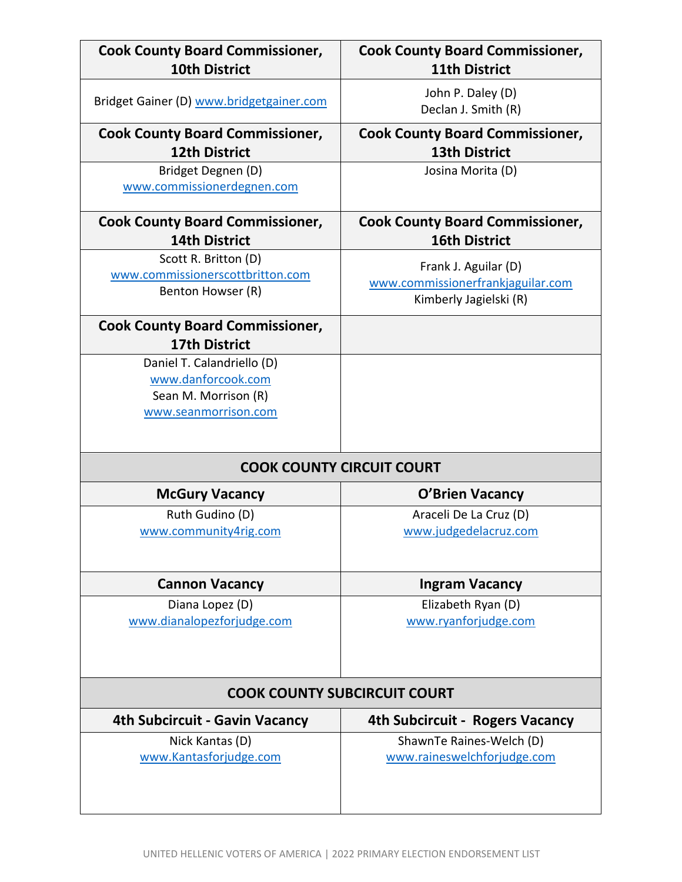| <b>Cook County Board Commissioner,</b><br><b>10th District</b>                | <b>Cook County Board Commissioner,</b><br><b>11th District</b>                      |
|-------------------------------------------------------------------------------|-------------------------------------------------------------------------------------|
| Bridget Gainer (D) www.bridgetgainer.com                                      | John P. Daley (D)<br>Declan J. Smith (R)                                            |
| <b>Cook County Board Commissioner,</b>                                        | <b>Cook County Board Commissioner,</b>                                              |
| <b>12th District</b>                                                          | <b>13th District</b>                                                                |
| Bridget Degnen (D)<br>www.commissionerdegnen.com                              | Josina Morita (D)                                                                   |
| <b>Cook County Board Commissioner,</b>                                        | <b>Cook County Board Commissioner,</b>                                              |
| <b>14th District</b>                                                          | <b>16th District</b>                                                                |
| Scott R. Britton (D)<br>www.commissionerscottbritton.com<br>Benton Howser (R) | Frank J. Aguilar (D)<br>www.commissionerfrankjaguilar.com<br>Kimberly Jagielski (R) |
| <b>Cook County Board Commissioner,</b><br><b>17th District</b>                |                                                                                     |
| Daniel T. Calandriello (D)                                                    |                                                                                     |
| www.danforcook.com                                                            |                                                                                     |
| Sean M. Morrison (R)                                                          |                                                                                     |
| www.seanmorrison.com                                                          |                                                                                     |
| <b>COOK COUNTY CIRCUIT COURT</b>                                              |                                                                                     |
| <b>McGury Vacancy</b>                                                         | <b>O'Brien Vacancy</b>                                                              |
| Ruth Gudino (D)<br>www.community4rig.com                                      | Araceli De La Cruz (D)<br>www.judgedelacruz.com                                     |
|                                                                               |                                                                                     |
| <b>Cannon Vacancy</b>                                                         | <b>Ingram Vacancy</b>                                                               |
| Diana Lopez (D)<br>www.dianalopezforjudge.com                                 | Elizabeth Ryan (D)<br>www.ryanforjudge.com                                          |
| <b>COOK COUNTY SUBCIRCUIT COURT</b>                                           |                                                                                     |
| 4th Subcircuit - Gavin Vacancy                                                | <b>4th Subcircuit - Rogers Vacancy</b>                                              |
| Nick Kantas (D)<br>www.Kantasforjudge.com                                     | ShawnTe Raines-Welch (D)<br>www.raineswelchforjudge.com                             |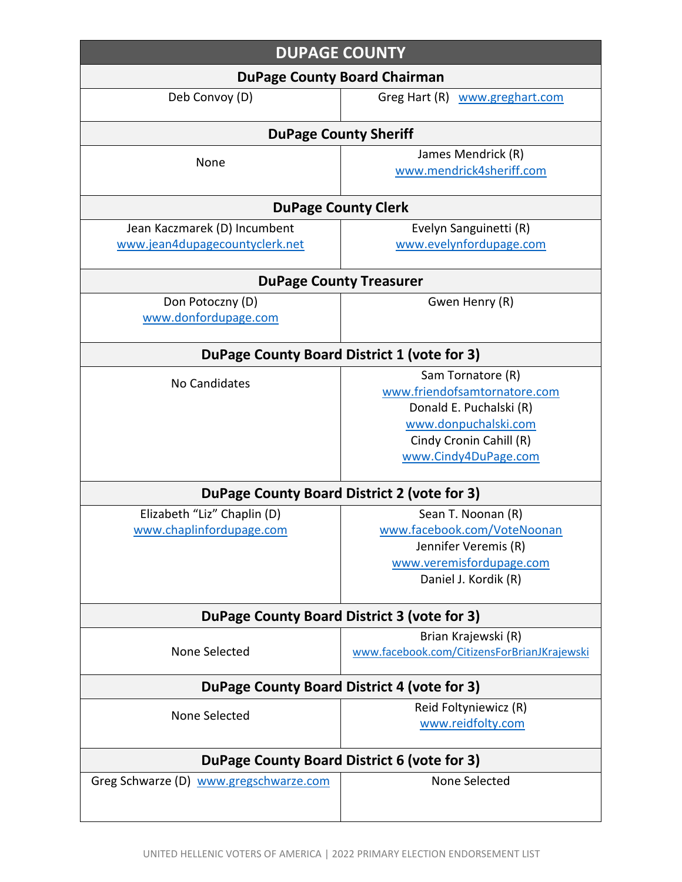| <b>DUPAGE COUNTY</b>                        |                                             |
|---------------------------------------------|---------------------------------------------|
| <b>DuPage County Board Chairman</b>         |                                             |
| Deb Convoy (D)                              | Greg Hart (R) www.greghart.com              |
|                                             | <b>DuPage County Sheriff</b>                |
| None                                        | James Mendrick (R)                          |
|                                             | www.mendrick4sheriff.com                    |
|                                             | <b>DuPage County Clerk</b>                  |
| Jean Kaczmarek (D) Incumbent                | Evelyn Sanguinetti (R)                      |
| www.jean4dupagecountyclerk.net              | www.evelynfordupage.com                     |
|                                             | <b>DuPage County Treasurer</b>              |
| Don Potoczny (D)                            | Gwen Henry (R)                              |
| www.donfordupage.com                        |                                             |
| DuPage County Board District 1 (vote for 3) |                                             |
| No Candidates                               | Sam Tornatore (R)                           |
|                                             | www.friendofsamtornatore.com                |
|                                             | Donald E. Puchalski (R)                     |
|                                             | www.donpuchalski.com                        |
|                                             | Cindy Cronin Cahill (R)                     |
|                                             | www.Cindy4DuPage.com                        |
| DuPage County Board District 2 (vote for 3) |                                             |
| Elizabeth "Liz" Chaplin (D)                 | Sean T. Noonan (R)                          |
| www.chaplinfordupage.com                    | www.facebook.com/VoteNoonan                 |
|                                             | Jennifer Veremis (R)                        |
|                                             | www.veremisfordupage.com                    |
|                                             | Daniel J. Kordik (R)                        |
| DuPage County Board District 3 (vote for 3) |                                             |
|                                             | Brian Krajewski (R)                         |
| None Selected                               | www.facebook.com/CitizensForBrianJKrajewski |
| DuPage County Board District 4 (vote for 3) |                                             |
| None Selected                               | Reid Foltyniewicz (R)                       |
|                                             | www.reidfolty.com                           |
| DuPage County Board District 6 (vote for 3) |                                             |
| Greg Schwarze (D) www.gregschwarze.com      | None Selected                               |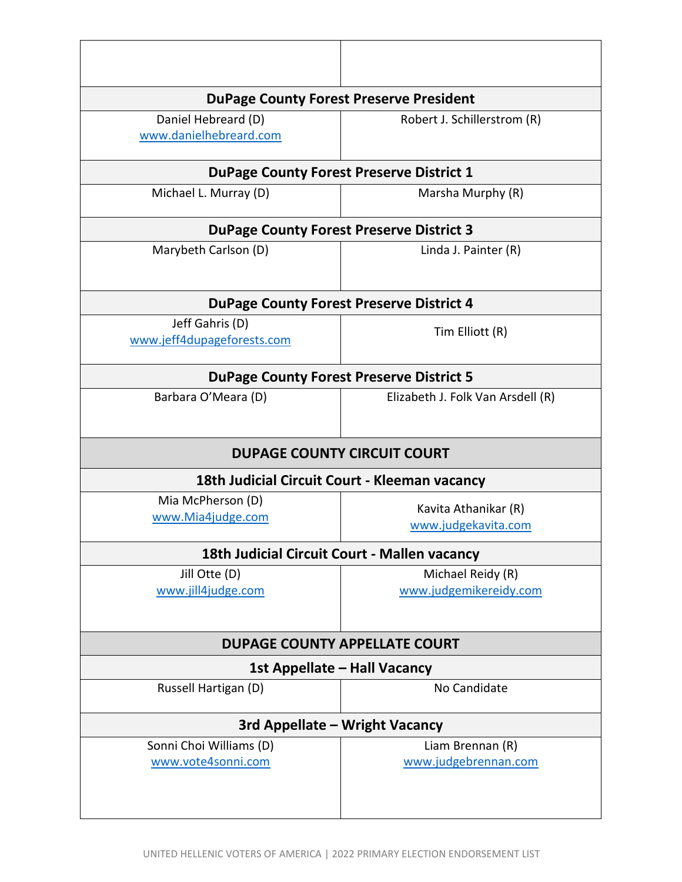| <b>DuPage County Forest Preserve President</b>  |                                                 |
|-------------------------------------------------|-------------------------------------------------|
| Daniel Hebreard (D)<br>www.danielhebreard.com   | Robert J. Schillerstrom (R)                     |
|                                                 | <b>DuPage County Forest Preserve District 1</b> |
| Michael L. Murray (D)                           | Marsha Murphy (R)                               |
|                                                 | <b>DuPage County Forest Preserve District 3</b> |
| Marybeth Carlson (D)                            | Linda J. Painter (R)                            |
| <b>DuPage County Forest Preserve District 4</b> |                                                 |
| Jeff Gahris (D)<br>www.jeff4dupageforests.com   | Tim Elliott (R)                                 |
| <b>DuPage County Forest Preserve District 5</b> |                                                 |
| Barbara O'Meara (D)                             | Elizabeth J. Folk Van Arsdell (R)               |
|                                                 | <b>DUPAGE COUNTY CIRCUIT COURT</b>              |
|                                                 | 18th Judicial Circuit Court - Kleeman vacancy   |
| Mia McPherson (D)<br>www.Mia4judge.com          | Kavita Athanikar (R)<br>www.judgekavita.com     |
|                                                 | 18th Judicial Circuit Court - Mallen vacancy    |
| Jill Otte (D)<br>www.jill4judge.com             | Michael Reidy (R)<br>www.judgemikereidy.com     |
| <b>DUPAGE COUNTY APPELLATE COURT</b>            |                                                 |
| 1st Appellate - Hall Vacancy                    |                                                 |
|                                                 |                                                 |
| Russell Hartigan (D)                            | No Candidate                                    |
|                                                 | 3rd Appellate - Wright Vacancy                  |